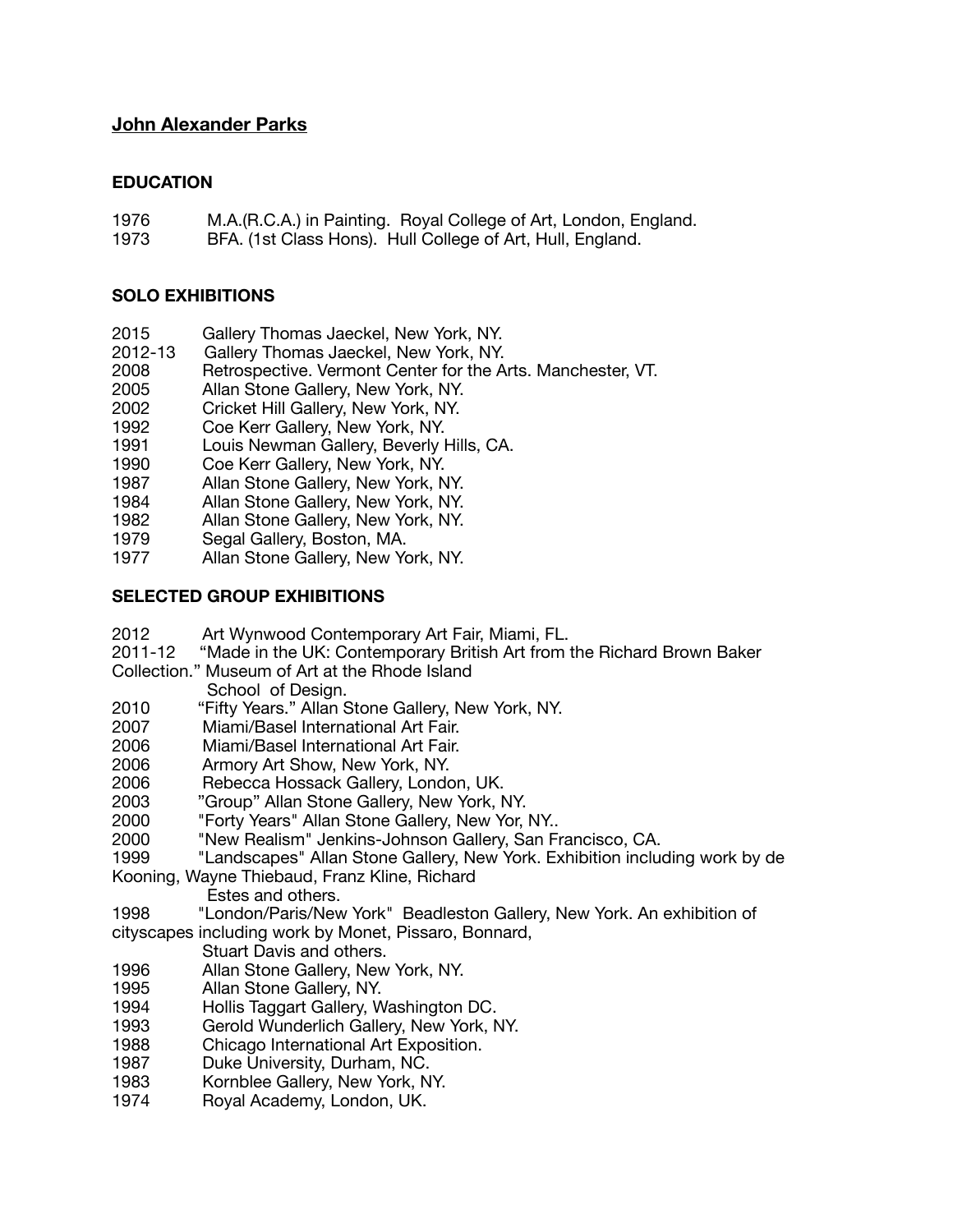# **John Alexander Parks**

## **EDUCATION**

- 1976 M.A.(R.C.A.) in Painting. Royal College of Art, London, England.
- 1973 BFA. (1st Class Hons). Hull College of Art, Hull, England.

## **SOLO EXHIBITIONS**

- 2015 Gallery Thomas Jaeckel, New York, NY.
- 2012-13 Gallery Thomas Jaeckel, New York, NY.
- 2008 Retrospective. Vermont Center for the Arts. Manchester, VT.
- 2005 Allan Stone Gallery, New York, NY.
- 2002 Cricket Hill Gallery, New York, NY.
- 1992 Coe Kerr Gallery, New York, NY.
- 1991 Louis Newman Gallery, Beverly Hills, CA.
- 1990 Coe Kerr Gallery, New York, NY.
- 1987 Allan Stone Gallery, New York, NY.
- 1984 Allan Stone Gallery, New York, NY.
- 1982 Allan Stone Gallery, New York, NY.
- 1979 Segal Gallery, Boston, MA.
- 1977 Allan Stone Gallery, New York, NY.

### **SELECTED GROUP EXHIBITIONS**

- 2012 Art Wynwood Contemporary Art Fair, Miami, FL.
- 2011-12 "Made in the UK: Contemporary British Art from the Richard Brown Baker
- Collection." Museum of Art at the Rhode Island
	- School of Design.
- 2010 "Fifty Years." Allan Stone Gallery, New York, NY.<br>2007 Miami/Basel International Art Fair.
- 2007 Miami/Basel International Art Fair.<br>2006 Miami/Basel International Art Fair.
- Miami/Basel International Art Fair.
- 2006 Armory Art Show, New York, NY.
- Rebecca Hossack Gallery, London, UK.
- 2003 "Group" Allan Stone Gallery, New York, NY.
- 2000 "Forty Years" Allan Stone Gallery, New Yor, NY..
- 2000 "New Realism" Jenkins-Johnson Gallery, San Francisco, CA.
- "Landscapes" Allan Stone Gallery, New York. Exhibition including work by de
- Kooning, Wayne Thiebaud, Franz Kline, Richard
	- Estes and others.
- 1998 "London/Paris/New York" Beadleston Gallery, New York. An exhibition of cityscapes including work by Monet, Pissaro, Bonnard,
	- Stuart Davis and others.
- 1996 Allan Stone Gallery, New York, NY.
- Allan Stone Gallery, NY.
- 1994 Hollis Taggart Gallery, Washington DC.
- 1993 Gerold Wunderlich Gallery, New York, NY.
- 1988 Chicago International Art Exposition.
- Duke University, Durham, NC.
- 1983 Kornblee Gallery, New York, NY.
- 1974 Royal Academy, London, UK.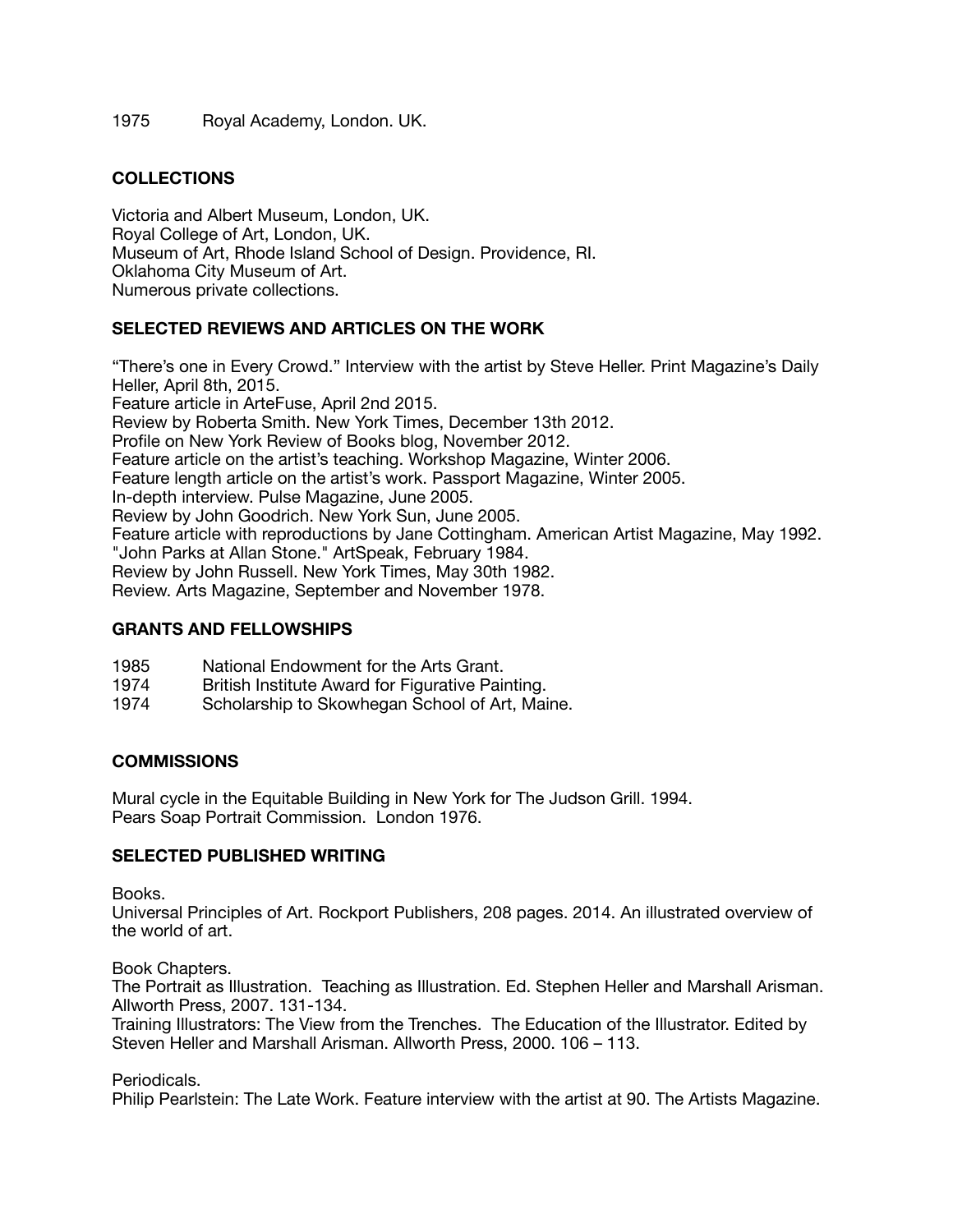1975 Royal Academy, London. UK.

# **COLLECTIONS**

Victoria and Albert Museum, London, UK. Royal College of Art, London, UK. Museum of Art, Rhode Island School of Design. Providence, RI. Oklahoma City Museum of Art. Numerous private collections.

# **SELECTED REVIEWS AND ARTICLES ON THE WORK**

"There's one in Every Crowd." Interview with the artist by Steve Heller. Print Magazine's Daily Heller, April 8th, 2015. Feature article in ArteFuse, April 2nd 2015. Review by Roberta Smith. New York Times, December 13th 2012. Profile on New York Review of Books blog, November 2012. Feature article on the artist's teaching. Workshop Magazine, Winter 2006. Feature length article on the artist's work. Passport Magazine, Winter 2005. In-depth interview. Pulse Magazine, June 2005. Review by John Goodrich. New York Sun, June 2005. Feature article with reproductions by Jane Cottingham. American Artist Magazine, May 1992. "John Parks at Allan Stone." ArtSpeak, February 1984. Review by John Russell. New York Times, May 30th 1982. Review. Arts Magazine, September and November 1978.

#### **GRANTS AND FELLOWSHIPS**

- 1985 National Endowment for the Arts Grant.
- 1974 British Institute Award for Figurative Painting.
- Scholarship to Skowhegan School of Art, Maine.

### **COMMISSIONS**

Mural cycle in the Equitable Building in New York for The Judson Grill. 1994. Pears Soap Portrait Commission. London 1976.

# **SELECTED PUBLISHED WRITING**

Books.

Universal Principles of Art. Rockport Publishers, 208 pages. 2014. An illustrated overview of the world of art.

Book Chapters.

The Portrait as Illustration. Teaching as Illustration. Ed. Stephen Heller and Marshall Arisman. Allworth Press, 2007. 131-134.

Training Illustrators: The View from the Trenches. The Education of the Illustrator. Edited by Steven Heller and Marshall Arisman. Allworth Press, 2000. 106 – 113.

Periodicals.

Philip Pearlstein: The Late Work. Feature interview with the artist at 90. The Artists Magazine.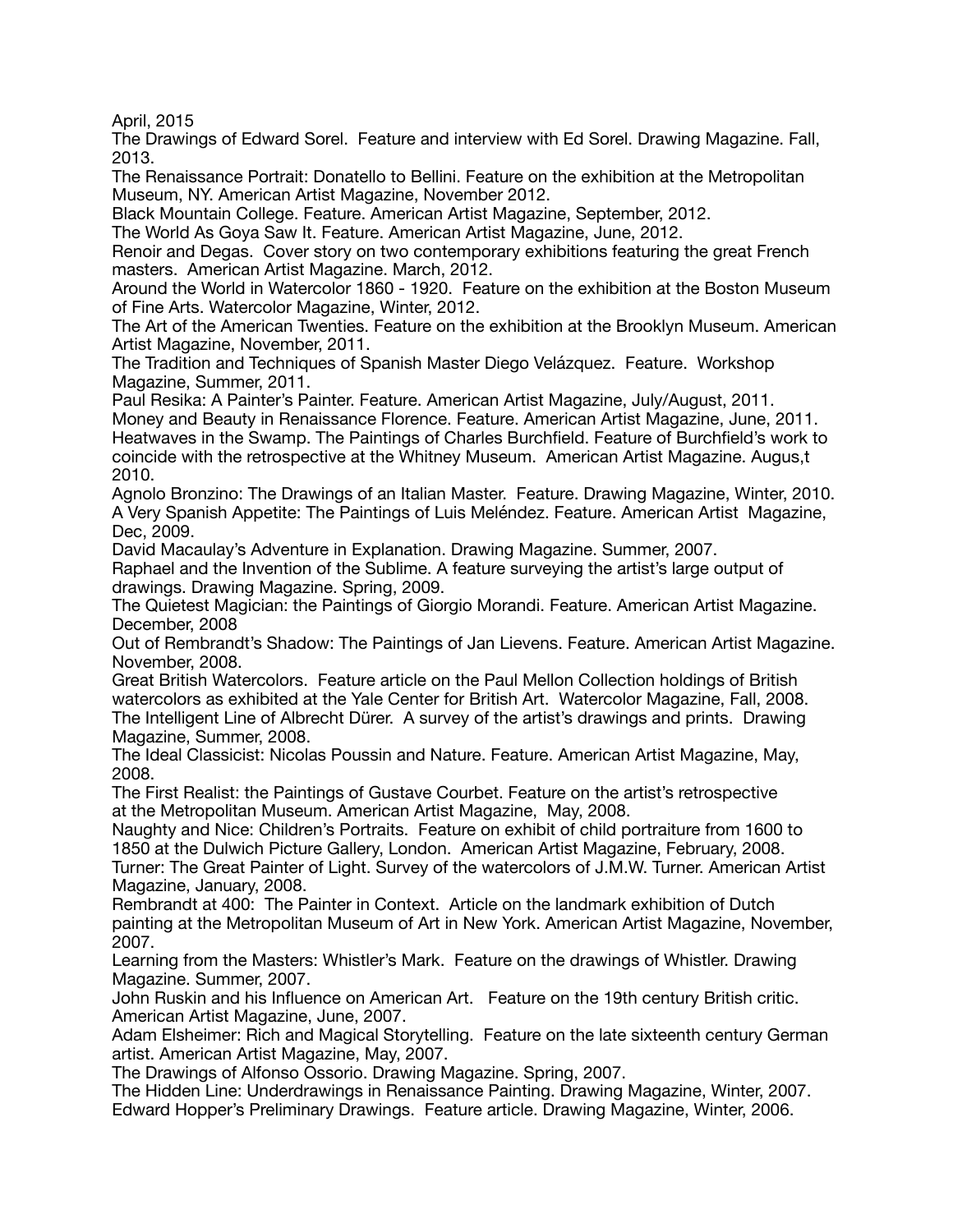April, 2015

The Drawings of Edward Sorel. Feature and interview with Ed Sorel. Drawing Magazine. Fall, 2013.

The Renaissance Portrait: Donatello to Bellini. Feature on the exhibition at the Metropolitan Museum, NY. American Artist Magazine, November 2012.

Black Mountain College. Feature. American Artist Magazine, September, 2012.

The World As Goya Saw It. Feature. American Artist Magazine, June, 2012.

Renoir and Degas. Cover story on two contemporary exhibitions featuring the great French masters. American Artist Magazine. March, 2012.

Around the World in Watercolor 1860 - 1920. Feature on the exhibition at the Boston Museum of Fine Arts. Watercolor Magazine, Winter, 2012.

The Art of the American Twenties. Feature on the exhibition at the Brooklyn Museum. American Artist Magazine, November, 2011.

The Tradition and Techniques of Spanish Master Diego Velázquez. Feature. Workshop Magazine, Summer, 2011.

Paul Resika: A Painter's Painter. Feature. American Artist Magazine, July/August, 2011. Money and Beauty in Renaissance Florence. Feature. American Artist Magazine, June, 2011. Heatwaves in the Swamp. The Paintings of Charles Burchfield. Feature of Burchfield's work to coincide with the retrospective at the Whitney Museum. American Artist Magazine. Augus,t 2010.

Agnolo Bronzino: The Drawings of an Italian Master. Feature. Drawing Magazine, Winter, 2010. A Very Spanish Appetite: The Paintings of Luis Meléndez. Feature. American Artist Magazine, Dec, 2009.

David Macaulay's Adventure in Explanation. Drawing Magazine. Summer, 2007.

Raphael and the Invention of the Sublime. A feature surveying the artist's large output of drawings. Drawing Magazine. Spring, 2009.

The Quietest Magician: the Paintings of Giorgio Morandi. Feature. American Artist Magazine. December, 2008

Out of Rembrandt's Shadow: The Paintings of Jan Lievens. Feature. American Artist Magazine. November, 2008.

Great British Watercolors. Feature article on the Paul Mellon Collection holdings of British watercolors as exhibited at the Yale Center for British Art. Watercolor Magazine, Fall, 2008. The Intelligent Line of Albrecht Dürer. A survey of the artist's drawings and prints. Drawing Magazine, Summer, 2008.

The Ideal Classicist: Nicolas Poussin and Nature. Feature. American Artist Magazine, May, 2008.

The First Realist: the Paintings of Gustave Courbet. Feature on the artist's retrospective at the Metropolitan Museum. American Artist Magazine, May, 2008.

Naughty and Nice: Children's Portraits. Feature on exhibit of child portraiture from 1600 to 1850 at the Dulwich Picture Gallery, London. American Artist Magazine, February, 2008. Turner: The Great Painter of Light. Survey of the watercolors of J.M.W. Turner. American Artist

Magazine, January, 2008. Rembrandt at 400: The Painter in Context. Article on the landmark exhibition of Dutch painting at the Metropolitan Museum of Art in New York. American Artist Magazine, November, 2007.

Learning from the Masters: Whistler's Mark. Feature on the drawings of Whistler. Drawing Magazine. Summer, 2007.

John Ruskin and his Influence on American Art. Feature on the 19th century British critic. American Artist Magazine, June, 2007.

Adam Elsheimer: Rich and Magical Storytelling. Feature on the late sixteenth century German artist. American Artist Magazine, May, 2007.

The Drawings of Alfonso Ossorio. Drawing Magazine. Spring, 2007.

The Hidden Line: Underdrawings in Renaissance Painting. Drawing Magazine, Winter, 2007. Edward Hopper's Preliminary Drawings. Feature article. Drawing Magazine, Winter, 2006.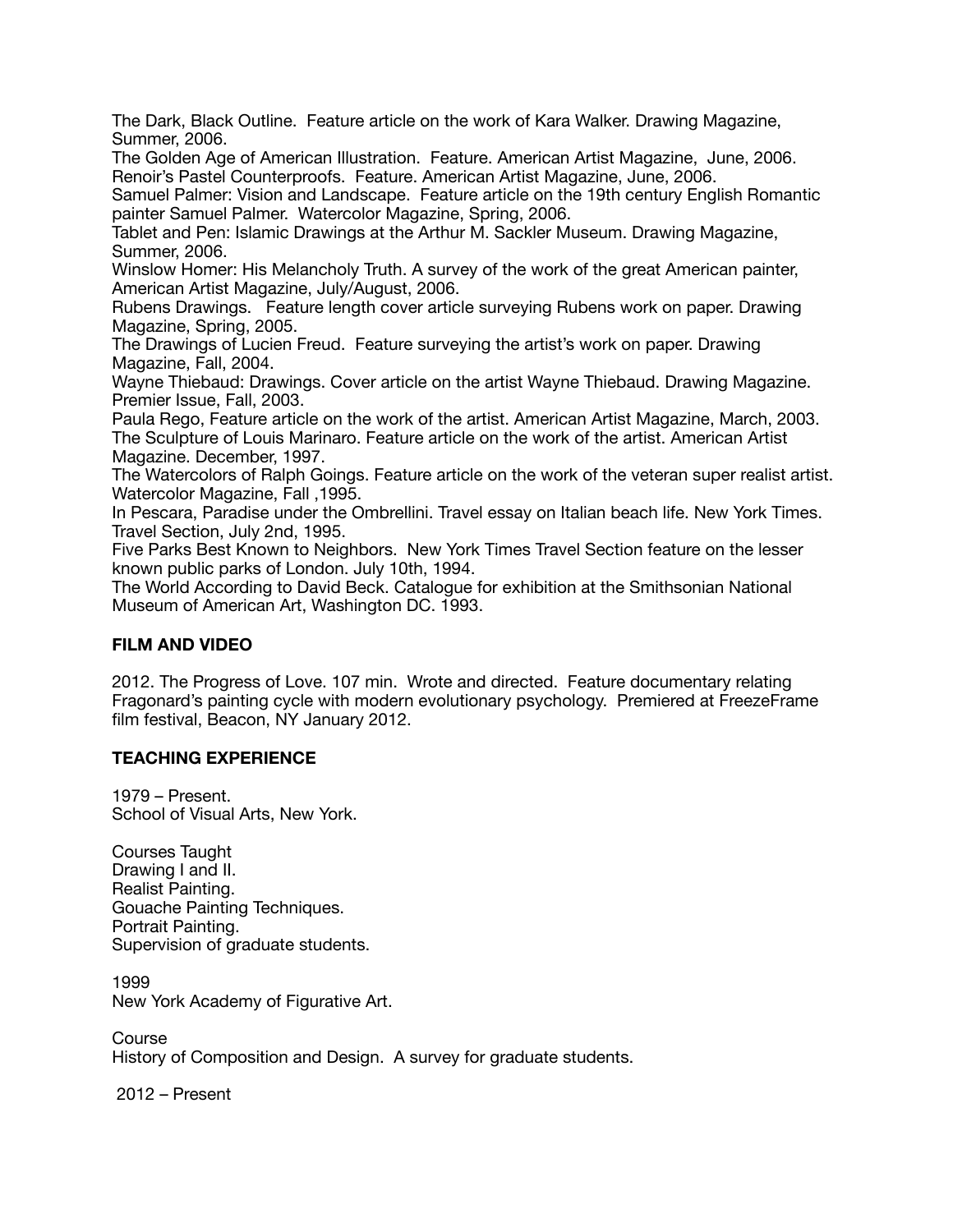The Dark, Black Outline. Feature article on the work of Kara Walker. Drawing Magazine, Summer, 2006.

The Golden Age of American Illustration. Feature. American Artist Magazine, June, 2006. Renoir's Pastel Counterproofs. Feature. American Artist Magazine, June, 2006.

Samuel Palmer: Vision and Landscape. Feature article on the 19th century English Romantic painter Samuel Palmer. Watercolor Magazine, Spring, 2006.

Tablet and Pen: Islamic Drawings at the Arthur M. Sackler Museum. Drawing Magazine, Summer, 2006.

Winslow Homer: His Melancholy Truth. A survey of the work of the great American painter, American Artist Magazine, July/August, 2006.

Rubens Drawings. Feature length cover article surveying Rubens work on paper. Drawing Magazine, Spring, 2005.

The Drawings of Lucien Freud. Feature surveying the artist's work on paper. Drawing Magazine, Fall, 2004.

Wayne Thiebaud: Drawings. Cover article on the artist Wayne Thiebaud. Drawing Magazine. Premier Issue, Fall, 2003.

Paula Rego, Feature article on the work of the artist. American Artist Magazine, March, 2003. The Sculpture of Louis Marinaro. Feature article on the work of the artist. American Artist Magazine. December, 1997.

The Watercolors of Ralph Goings. Feature article on the work of the veteran super realist artist. Watercolor Magazine, Fall ,1995.

In Pescara, Paradise under the Ombrellini. Travel essay on Italian beach life. New York Times. Travel Section, July 2nd, 1995.

Five Parks Best Known to Neighbors. New York Times Travel Section feature on the lesser known public parks of London. July 10th, 1994.

The World According to David Beck. Catalogue for exhibition at the Smithsonian National Museum of American Art, Washington DC. 1993.

# **FILM AND VIDEO**

2012. The Progress of Love. 107 min. Wrote and directed. Feature documentary relating Fragonard's painting cycle with modern evolutionary psychology. Premiered at FreezeFrame film festival, Beacon, NY January 2012.

# **TEACHING EXPERIENCE**

1979 – Present. School of Visual Arts, New York.

Courses Taught Drawing I and II. Realist Painting. Gouache Painting Techniques. Portrait Painting. Supervision of graduate students.

1999 New York Academy of Figurative Art.

Course History of Composition and Design. A survey for graduate students.

2012 – Present